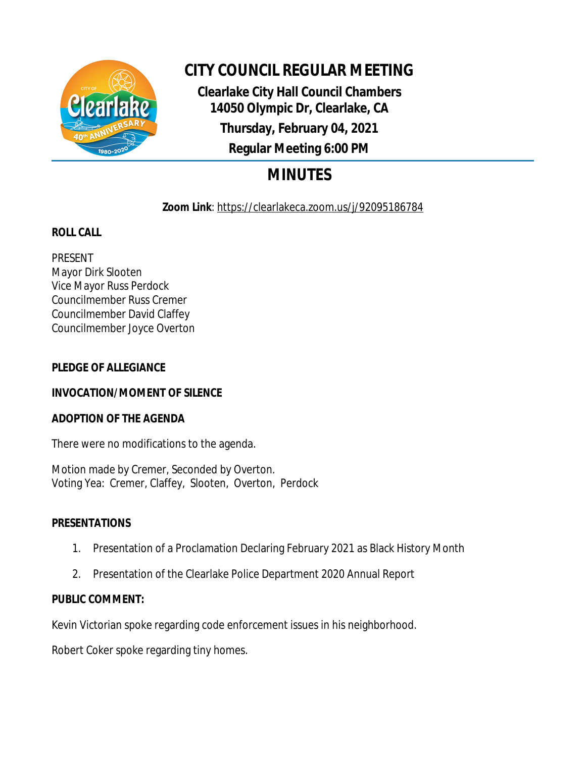

# **CITY COUNCIL REGULAR MEETING**

**Clearlake City Hall Council Chambers 14050 Olympic Dr, Clearlake, CA Thursday, February 04, 2021 Regular Meeting 6:00 PM**

# **MINUTES**

# **Zoom Link**: https://clearlakeca.zoom.us/j/92095186784

# **ROLL CALL**

PRESENT Mayor Dirk Slooten Vice Mayor Russ Perdock Councilmember Russ Cremer Councilmember David Claffey Councilmember Joyce Overton

## **PLEDGE OF ALLEGIANCE**

# **INVOCATION/MOMENT OF SILENCE**

## **ADOPTION OF THE AGENDA**

There were no modifications to the agenda.

Motion made by Cremer, Seconded by Overton. Voting Yea: Cremer, Claffey, Slooten, Overton, Perdock

## **PRESENTATIONS**

- 1. Presentation of a Proclamation Declaring February 2021 as Black History Month
- 2. Presentation of the Clearlake Police Department 2020 Annual Report

# **PUBLIC COMMENT:**

Kevin Victorian spoke regarding code enforcement issues in his neighborhood.

Robert Coker spoke regarding tiny homes.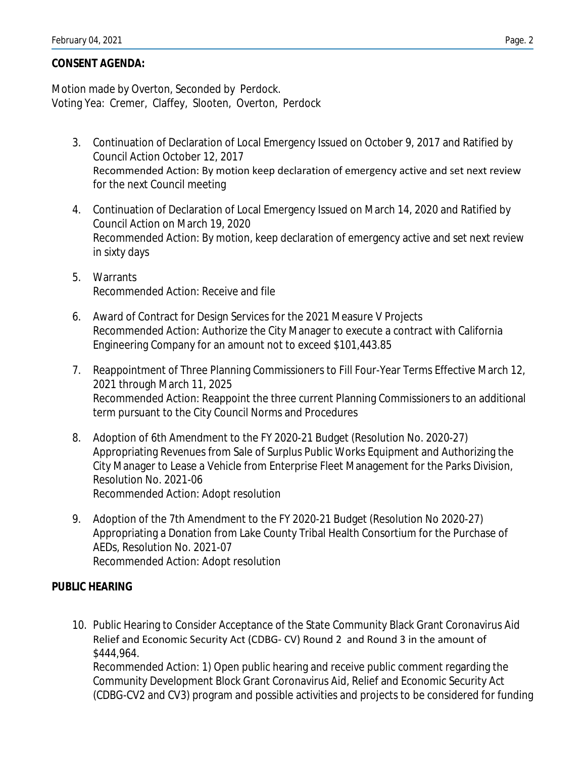#### **CONSENT AGENDA:**

Motion made by Overton, Seconded by Perdock. Voting Yea: Cremer, Claffey, Slooten, Overton, Perdock

- 3. Continuation of Declaration of Local Emergency Issued on October 9, 2017 and Ratified by Council Action October 12, 2017 Recommended Action: By motion keep declaration of emergency active and set next review for the next Council meeting
- 4. Continuation of Declaration of Local Emergency Issued on March 14, 2020 and Ratified by Council Action on March 19, 2020 Recommended Action: By motion, keep declaration of emergency active and set next review in sixty days
- 5. Warrants Recommended Action: Receive and file
- 6. Award of Contract for Design Services for the 2021 Measure V Projects Recommended Action: Authorize the City Manager to execute a contract with California Engineering Company for an amount not to exceed \$101,443.85
- 7. Reappointment of Three Planning Commissioners to Fill Four-Year Terms Effective March 12, 2021 through March 11, 2025 Recommended Action: Reappoint the three current Planning Commissioners to an additional term pursuant to the City Council Norms and Procedures
- 8. Adoption of 6th Amendment to the FY 2020-21 Budget (Resolution No. 2020-27) Appropriating Revenues from Sale of Surplus Public Works Equipment and Authorizing the City Manager to Lease a Vehicle from Enterprise Fleet Management for the Parks Division, Resolution No. 2021-06 Recommended Action: Adopt resolution
- 9. Adoption of the 7th Amendment to the FY 2020-21 Budget (Resolution No 2020-27) Appropriating a Donation from Lake County Tribal Health Consortium for the Purchase of AEDs, Resolution No. 2021-07 Recommended Action: Adopt resolution

#### **PUBLIC HEARING**

10. Public Hearing to Consider Acceptance of the State Community Black Grant Coronavirus Aid Relief and Economic Security Act (CDBG- CV) Round 2 and Round 3 in the amount of \$444,964.

Recommended Action: 1) Open public hearing and receive public comment regarding the Community Development Block Grant Coronavirus Aid, Relief and Economic Security Act (CDBG-CV2 and CV3) program and possible activities and projects to be considered for funding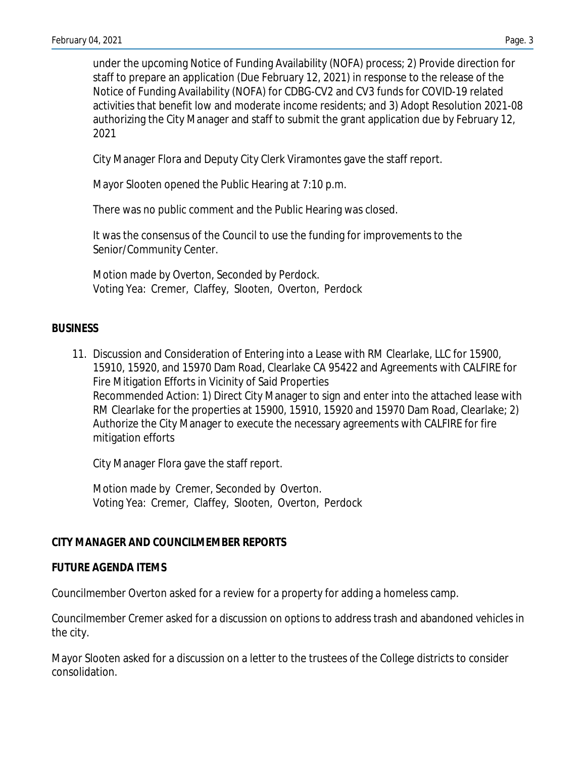under the upcoming Notice of Funding Availability (NOFA) process; 2) Provide direction for staff to prepare an application (Due February 12, 2021) in response to the release of the Notice of Funding Availability (NOFA) for CDBG-CV2 and CV3 funds for COVID-19 related activities that benefit low and moderate income residents; and 3) Adopt Resolution 2021-08 authorizing the City Manager and staff to submit the grant application due by February 12, 2021

City Manager Flora and Deputy City Clerk Viramontes gave the staff report.

Mayor Slooten opened the Public Hearing at 7:10 p.m.

There was no public comment and the Public Hearing was closed.

It was the consensus of the Council to use the funding for improvements to the Senior/Community Center.

Motion made by Overton, Seconded by Perdock. Voting Yea: Cremer, Claffey, Slooten, Overton, Perdock

## **BUSINESS**

11. Discussion and Consideration of Entering into a Lease with RM Clearlake, LLC for 15900, 15910, 15920, and 15970 Dam Road, Clearlake CA 95422 and Agreements with CALFIRE for Fire Mitigation Efforts in Vicinity of Said Properties Recommended Action: 1) Direct City Manager to sign and enter into the attached lease with RM Clearlake for the properties at 15900, 15910, 15920 and 15970 Dam Road, Clearlake; 2) Authorize the City Manager to execute the necessary agreements with CALFIRE for fire mitigation efforts

City Manager Flora gave the staff report.

Motion made by Cremer, Seconded by Overton. Voting Yea: Cremer, Claffey, Slooten, Overton, Perdock

## **CITY MANAGER AND COUNCILMEMBER REPORTS**

## **FUTURE AGENDA ITEMS**

Councilmember Overton asked for a review for a property for adding a homeless camp.

Councilmember Cremer asked for a discussion on options to address trash and abandoned vehicles in the city.

Mayor Slooten asked for a discussion on a letter to the trustees of the College districts to consider consolidation.